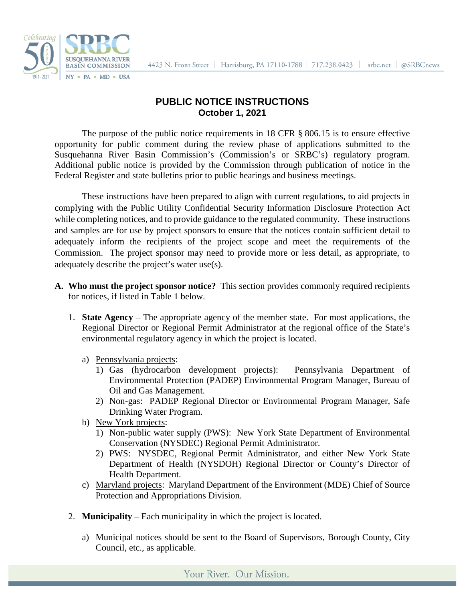



## **PUBLIC NOTICE INSTRUCTIONS October 1, 2021**

The purpose of the public notice requirements in 18 CFR § 806.15 is to ensure effective opportunity for public comment during the review phase of applications submitted to the Susquehanna River Basin Commission's (Commission's or SRBC's) regulatory program. Additional public notice is provided by the Commission through publication of notice in the Federal Register and state bulletins prior to public hearings and business meetings.

These instructions have been prepared to align with current regulations, to aid projects in complying with the Public Utility Confidential Security Information Disclosure Protection Act while completing notices, and to provide guidance to the regulated community. These instructions and samples are for use by project sponsors to ensure that the notices contain sufficient detail to adequately inform the recipients of the project scope and meet the requirements of the Commission. The project sponsor may need to provide more or less detail, as appropriate, to adequately describe the project's water use(s).

- **A. Who must the project sponsor notice?** This section provides commonly required recipients for notices, if listed in Table 1 below.
	- 1. **State Agency** The appropriate agency of the member state. For most applications, the Regional Director or Regional Permit Administrator at the regional office of the State's environmental regulatory agency in which the project is located.
		- a) Pennsylvania projects:
			- 1) Gas (hydrocarbon development projects): Pennsylvania Department of Environmental Protection (PADEP) Environmental Program Manager, Bureau of Oil and Gas Management.
			- 2) Non-gas: PADEP Regional Director or Environmental Program Manager, Safe Drinking Water Program.
		- b) New York projects:
			- 1) Non-public water supply (PWS): New York State Department of Environmental Conservation (NYSDEC) Regional Permit Administrator.
			- 2) PWS: NYSDEC, Regional Permit Administrator, and either New York State Department of Health (NYSDOH) Regional Director or County's Director of Health Department.
		- c) Maryland projects: Maryland Department of the Environment (MDE) Chief of Source Protection and Appropriations Division.
	- 2. **Municipality** Each municipality in which the project is located.
		- a) Municipal notices should be sent to the Board of Supervisors, Borough County, City Council, etc., as applicable.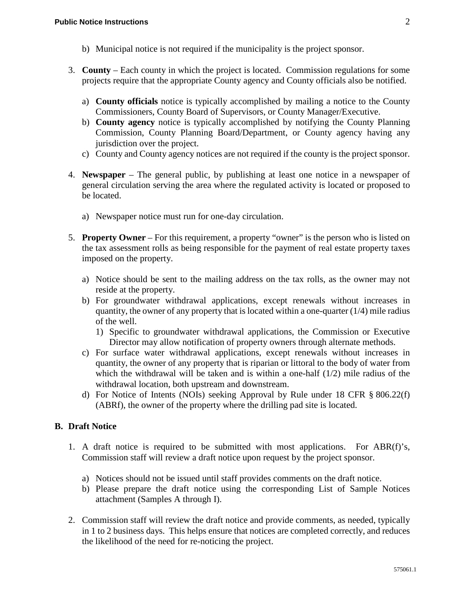- b) Municipal notice is not required if the municipality is the project sponsor.
- 3. **County** Each county in which the project is located. Commission regulations for some projects require that the appropriate County agency and County officials also be notified.
	- a) **County officials** notice is typically accomplished by mailing a notice to the County Commissioners, County Board of Supervisors, or County Manager/Executive.
	- b) **County agency** notice is typically accomplished by notifying the County Planning Commission, County Planning Board/Department, or County agency having any jurisdiction over the project.
	- c) County and County agency notices are not required if the county is the project sponsor.
- 4. **Newspaper** The general public, by publishing at least one notice in a newspaper of general circulation serving the area where the regulated activity is located or proposed to be located.
	- a) Newspaper notice must run for one-day circulation.
- 5. **Property Owner** For this requirement, a property "owner" is the person who is listed on the tax assessment rolls as being responsible for the payment of real estate property taxes imposed on the property.
	- a) Notice should be sent to the mailing address on the tax rolls, as the owner may not reside at the property.
	- b) For groundwater withdrawal applications, except renewals without increases in quantity, the owner of any property that is located within a one-quarter  $(1/4)$  mile radius of the well.
		- 1) Specific to groundwater withdrawal applications, the Commission or Executive Director may allow notification of property owners through alternate methods.
	- c) For surface water withdrawal applications, except renewals without increases in quantity, the owner of any property that is riparian or littoral to the body of water from which the withdrawal will be taken and is within a one-half (1/2) mile radius of the withdrawal location, both upstream and downstream.
	- d) For Notice of Intents (NOIs) seeking Approval by Rule under 18 CFR § 806.22(f) (ABRf), the owner of the property where the drilling pad site is located.

### **B. Draft Notice**

- 1. A draft notice is required to be submitted with most applications. For ABR(f)'s, Commission staff will review a draft notice upon request by the project sponsor.
	- a) Notices should not be issued until staff provides comments on the draft notice.
	- b) Please prepare the draft notice using the corresponding List of Sample Notices attachment (Samples A through I).
- 2. Commission staff will review the draft notice and provide comments, as needed, typically in 1 to 2 business days. This helps ensure that notices are completed correctly, and reduces the likelihood of the need for re-noticing the project.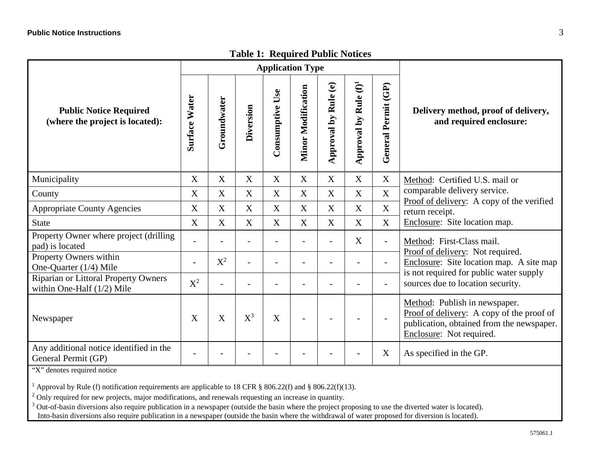|                                                                             | raon 1. Required Faone Rouces<br><b>Application Type</b> |                  |             |                    |                           |                                      |                                   |                           |                                                                                                                                                                                           |
|-----------------------------------------------------------------------------|----------------------------------------------------------|------------------|-------------|--------------------|---------------------------|--------------------------------------|-----------------------------------|---------------------------|-------------------------------------------------------------------------------------------------------------------------------------------------------------------------------------------|
| <b>Public Notice Required</b><br>(where the project is located):            | <b>Surface Water</b>                                     | Groundwater      | Diversion   | Use<br>Consumptive | <b>Minor Modification</b> | Rule (e)<br>$\mathbf{A}$<br>Approval | Approval by Rule (f) <sup>1</sup> | General Permit (GP)       | Delivery method, proof of delivery,<br>and required enclosure:                                                                                                                            |
| Municipality                                                                | $\mathbf X$                                              | $\mathbf X$      | $\mathbf X$ | X                  | $\mathbf X$               | $\mathbf X$                          | $\mathbf X$                       | $\boldsymbol{\mathrm{X}}$ | Method: Certified U.S. mail or<br>comparable delivery service.<br>Proof of delivery: A copy of the verified<br>return receipt.<br>Enclosure: Site location map.                           |
| County                                                                      | $\boldsymbol{\mathrm{X}}$                                | $\boldsymbol{X}$ | X           | X                  | $\boldsymbol{X}$          | $\boldsymbol{\mathrm{X}}$            | $\mathbf X$                       | $\mathbf X$               |                                                                                                                                                                                           |
| <b>Appropriate County Agencies</b>                                          | X                                                        | X                | X           | X                  | X                         | $\boldsymbol{\mathrm{X}}$            | $\mathbf X$                       | $\mathbf X$               |                                                                                                                                                                                           |
| <b>State</b>                                                                | X                                                        | X                | X           | X                  | X                         | $\mathbf X$                          | $\mathbf X$                       | $\boldsymbol{\mathrm{X}}$ |                                                                                                                                                                                           |
| Property Owner where project (drilling<br>pad) is located                   |                                                          |                  |             |                    |                           |                                      | X                                 | $\overline{a}$            | Method: First-Class mail.<br>Proof of delivery: Not required.<br>Enclosure: Site location map. A site map<br>is not required for public water supply<br>sources due to location security. |
| Property Owners within<br>One-Quarter (1/4) Mile                            | $\overline{\phantom{a}}$                                 | $X^2$            |             |                    |                           |                                      |                                   | $\overline{\phantom{0}}$  |                                                                                                                                                                                           |
| <b>Riparian or Littoral Property Owners</b><br>within One-Half $(1/2)$ Mile | $X^2$                                                    |                  |             |                    |                           |                                      |                                   | $\overline{\phantom{0}}$  |                                                                                                                                                                                           |
| Newspaper                                                                   | X                                                        | $\boldsymbol{X}$ | $X^3$       | X                  |                           |                                      |                                   | $\overline{\phantom{0}}$  | Method: Publish in newspaper.<br>Proof of delivery: A copy of the proof of<br>publication, obtained from the newspaper.<br>Enclosure: Not required.                                       |
| Any additional notice identified in the<br>General Permit (GP)              |                                                          |                  |             |                    |                           |                                      |                                   | X                         | As specified in the GP.                                                                                                                                                                   |

## **Table 1: Required Public Notices**

"X" denotes required notice

<sup>1</sup> Approval by Rule (f) notification requirements are applicable to 18 CFR § 806.22(f) and § 806.22(f)(13).

<sup>2</sup> Only required for new projects, major modifications, and renewals requesting an increase in quantity.

<sup>3</sup> Out-of-basin diversions also require publication in a newspaper (outside the basin where the project proposing to use the diverted water is located).

Into-basin diversions also require publication in a newspaper (outside the basin where the withdrawal of water proposed for diversion is located).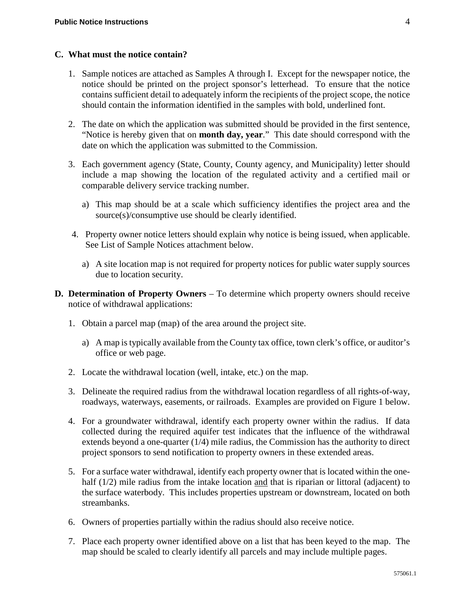#### **C. What must the notice contain?**

- 1. Sample notices are attached as Samples A through I. Except for the newspaper notice, the notice should be printed on the project sponsor's letterhead. To ensure that the notice contains sufficient detail to adequately inform the recipients of the project scope, the notice should contain the information identified in the samples with bold, underlined font.
- 2. The date on which the application was submitted should be provided in the first sentence, "Notice is hereby given that on **month day, year**." This date should correspond with the date on which the application was submitted to the Commission.
- 3. Each government agency (State, County, County agency, and Municipality) letter should include a map showing the location of the regulated activity and a certified mail or comparable delivery service tracking number.
	- a) This map should be at a scale which sufficiency identifies the project area and the source(s)/consumptive use should be clearly identified.
- 4. Property owner notice letters should explain why notice is being issued, when applicable. See List of Sample Notices attachment below.
	- a) A site location map is not required for property notices for public water supply sources due to location security.
- **D. Determination of Property Owners** To determine which property owners should receive notice of withdrawal applications:
	- 1. Obtain a parcel map (map) of the area around the project site.
		- a) A map is typically available from the County tax office, town clerk's office, or auditor's office or web page.
	- 2. Locate the withdrawal location (well, intake, etc.) on the map.
	- 3. Delineate the required radius from the withdrawal location regardless of all rights-of-way, roadways, waterways, easements, or railroads. Examples are provided on Figure 1 below.
	- 4. For a groundwater withdrawal, identify each property owner within the radius. If data collected during the required aquifer test indicates that the influence of the withdrawal extends beyond a one-quarter (1/4) mile radius, the Commission has the authority to direct project sponsors to send notification to property owners in these extended areas.
	- 5. For a surface water withdrawal, identify each property owner that is located within the onehalf (1/2) mile radius from the intake location and that is riparian or littoral (adjacent) to the surface waterbody. This includes properties upstream or downstream, located on both streambanks.
	- 6. Owners of properties partially within the radius should also receive notice.
	- 7. Place each property owner identified above on a list that has been keyed to the map. The map should be scaled to clearly identify all parcels and may include multiple pages.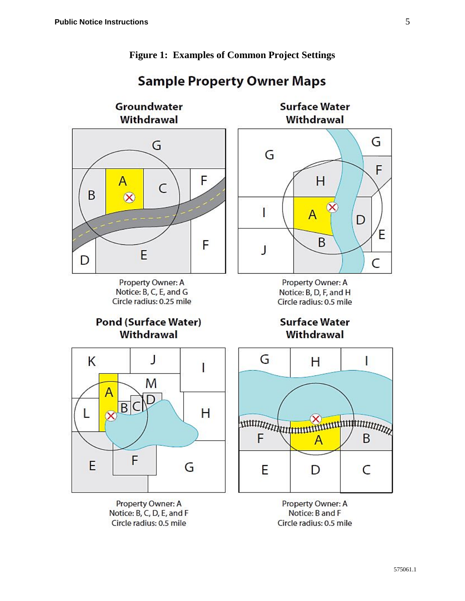

**Figure 1: Examples of Common Project Settings**